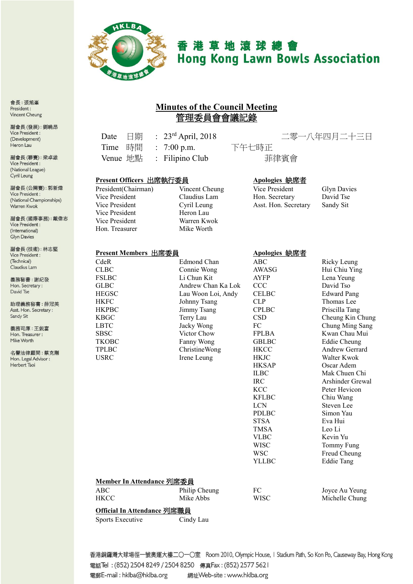

# 香港草地滾球總會 **Hong Kong Lawn Bowls Association**

# **Minutes of the Council Meeting** 管理委員會會議記錄

Time 時間 : 7:00 p.m. 下午七時正 Venue 地點 : Filipino Club **菲律賓會** 

Date 日期 : 23rd April, 2018 二零一八年四月二十三日

#### **Present Officers** 出席執行委員 **Apologies** 缺席者

Vice President Heron Lau Vice President Warren Kwok Hon. Treasurer Mike Worth

**Present Members** 出席委員 **Apologies** 缺席者

President(Chairman) Vincent Cheung Vice President Glyn Davies Vice President Claudius Lam Hon. Secretary David Tse Vice President Cyril Leung Asst. Hon. Secretary Sandy Sit

| CdeR                             | Edmond Chan                | ABC               | Ricky Leung           |
|----------------------------------|----------------------------|-------------------|-----------------------|
| <b>CLBC</b>                      | Connie Wong                | <b>AWASG</b>      | Hui Chiu Ying         |
| <b>FSLBC</b>                     | Li Chun Kit                | <b>AYFP</b>       | Lena Yeung            |
| <b>GLBC</b>                      | Andrew Chan Ka Lok         | <b>CCC</b>        | David Tso             |
| <b>HEGSC</b>                     | Lau Woon Loi, Andy         | <b>CELBC</b>      | <b>Edward Pang</b>    |
| <b>HKFC</b>                      | Johnny Tsang               | <b>CLP</b>        | Thomas Lee            |
| <b>HKPBC</b>                     | Jimmy Tsang                | <b>CPLBC</b>      | Priscilla Tang        |
| <b>KBGC</b>                      | Terry Lau                  | <b>CSD</b>        | Cheung Kin Chung      |
| <b>LBTC</b>                      | Jacky Wong                 | FC                | Chung Ming Sang       |
| <b>SBSC</b>                      | Victor Chow                | <b>FPLBA</b>      | Kwan Chau Mui         |
| <b>TKOBC</b>                     | Fanny Wong                 | <b>GBLBC</b>      | <b>Eddie Cheung</b>   |
| <b>TPLBC</b>                     | ChristineWong              | <b>HKCC</b>       | <b>Andrew Gerrard</b> |
| <b>USRC</b>                      | Irene Leung                | <b>HKJC</b>       | Walter Kwok           |
|                                  |                            | <b>HKSAP</b>      | Oscar Adem            |
|                                  |                            | <b>ILBC</b>       | Mak Chuen Chi         |
|                                  |                            | <b>IRC</b>        | Arshinder Grewal      |
|                                  |                            | <b>KCC</b>        | Peter Hevicon         |
|                                  |                            | <b>KFLBC</b>      | Chiu Wang             |
|                                  |                            | <b>LCN</b>        | Steven Lee            |
|                                  |                            | <b>PDLBC</b>      | Simon Yau             |
|                                  |                            | <b>STSA</b>       | Eva Hui               |
|                                  |                            | <b>TMSA</b>       | Leo Li                |
|                                  |                            | <b>VLBC</b>       | Kevin Yu              |
|                                  |                            | WISC              | Tommy Fung            |
|                                  |                            | <b>WSC</b>        | Freud Cheung          |
|                                  |                            | YLLBC             | <b>Eddie Tang</b>     |
| <b>Member In Attendance 列席委員</b> |                            |                   |                       |
|                                  |                            |                   |                       |
| <b>ABC</b>                       | Philip Cheung<br>Mike Abbs | FC<br><b>WISC</b> | Joyce Au Yeung        |
| <b>HKCC</b>                      |                            |                   | Michelle Chung        |
| Official In Attendance 列席職員      |                            |                   |                       |

Sports Executive Cindy Lau

香港銅鑼灣大球場徑一號奧運大樓二〇一〇室 Room 2010, Olympic House, I Stadium Path, So Kon Po, Causeway Bay, Hong Kong 電話Tel: (852) 2504 8249 / 2504 8250 傳真Fax: (852) 2577 5621 電郵E-mail: hklba@hklba.org 網址Web-site : www.hklba.org

會長:張旭峯 President: **Vincent Cheung** 

副會長(發展):劉曉昂 Vice President : (Development) Heron Lau

副會長(聯賽):梁卓雄 Vice President : (National League) Cyril Leung

副會長(公開賽):郭新煒 Vice President : (National Championships) Warren Kwok

副會長(國際事務):戴偉志 Vice President : (International) Glyn Davies

副會長(技術):林志堅 Vice President : (Technical) Claudius Lam

義務秘書:謝紀發 Hon. Secretary: David Tse

助理義務秘書:薛冠美 Asst. Hon. Secretary: Sandy Sit

義務司庫:王鋭富 Hon. Treasurer: Mike Worth

名譽法律顧問:蔡克剛 Hon. Legal Advisor : Herbert Tsoi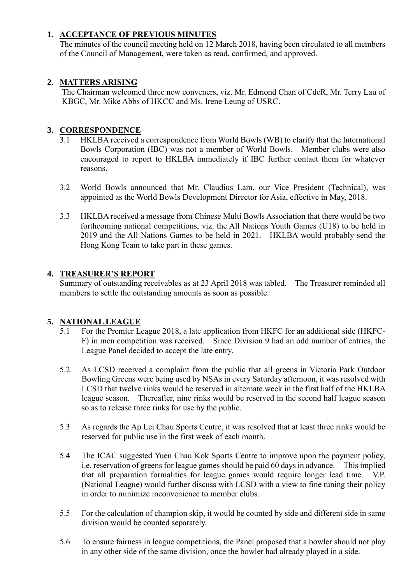### **1. ACCEPTANCE OF PREVIOUS MINUTES**

The minutes of the council meeting held on 12 March 2018, having been circulated to all members of the Council of Management, were taken as read, confirmed, and approved.

### **2. MATTERS ARISING**

The Chairman welcomed three new conveners, viz. Mr. Edmond Chan of CdeR, Mr. Terry Lau of KBGC, Mr. Mike Abbs of HKCC and Ms. Irene Leung of USRC.

#### **3. CORRESPONDENCE**

- 3.1 HKLBA received a correspondence from World Bowls (WB) to clarify that the International Bowls Corporation (IBC) was not a member of World Bowls. Member clubs were also encouraged to report to HKLBA immediately if IBC further contact them for whatever reasons.
- 3.2 World Bowls announced that Mr. Claudius Lam, our Vice President (Technical), was appointed as the World Bowls Development Director for Asia, effective in May, 2018.
- 3.3 HKLBA received a message from Chinese Multi Bowls Association that there would be two forthcoming national competitions, viz. the All Nations Youth Games (U18) to be held in 2019 and the All Nations Games to be held in 2021. HKLBA would probably send the Hong Kong Team to take part in these games.

#### **4. TREASURER'S REPORT**

Summary of outstanding receivables as at 23 April 2018 was tabled. The Treasurer reminded all members to settle the outstanding amounts as soon as possible.

## **5. NATIONAL LEAGUE**

- 5.1 For the Premier League 2018, a late application from HKFC for an additional side (HKFC-F) in men competition was received. Since Division 9 had an odd number of entries, the League Panel decided to accept the late entry.
- 5.2 As LCSD received a complaint from the public that all greens in Victoria Park Outdoor Bowling Greens were being used by NSAs in every Saturday afternoon, it was resolved with LCSD that twelve rinks would be reserved in alternate week in the first half of the HKLBA league season. Thereafter, nine rinks would be reserved in the second half league season so as to release three rinks for use by the public.
- 5.3 As regards the Ap Lei Chau Sports Centre, it was resolved that at least three rinks would be reserved for public use in the first week of each month.
- 5.4 The ICAC suggested Yuen Chau Kok Sports Centre to improve upon the payment policy, i.e. reservation of greens for league games should be paid 60 days in advance. This implied that all preparation formalities for league games would require longer lead time. V.P. (National League) would further discuss with LCSD with a view to fine tuning their policy in order to minimize inconvenience to member clubs.
- 5.5 For the calculation of champion skip, it would be counted by side and different side in same division would be counted separately.
- 5.6 To ensure fairness in league competitions, the Panel proposed that a bowler should not play in any other side of the same division, once the bowler had already played in a side.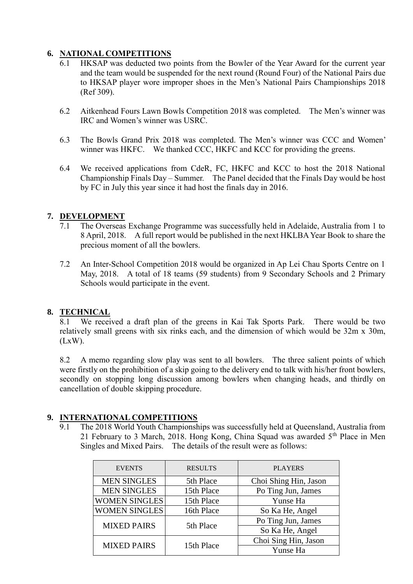#### **6. NATIONAL COMPETITIONS**

- 6.1 HKSAP was deducted two points from the Bowler of the Year Award for the current year and the team would be suspended for the next round (Round Four) of the National Pairs due to HKSAP player wore improper shoes in the Men's National Pairs Championships 2018 (Ref 309).
- 6.2 Aitkenhead Fours Lawn Bowls Competition 2018 was completed. The Men's winner was IRC and Women's winner was USRC.
- 6.3 The Bowls Grand Prix 2018 was completed. The Men's winner was CCC and Women' winner was HKFC. We thanked CCC, HKFC and KCC for providing the greens.
- 6.4 We received applications from CdeR, FC, HKFC and KCC to host the 2018 National Championship Finals Day – Summer. The Panel decided that the Finals Day would be host by FC in July this year since it had host the finals day in 2016.

#### **7. DEVELOPMENT**

- 7.1 The Overseas Exchange Programme was successfully held in Adelaide, Australia from 1 to 8 April, 2018. A full report would be published in the next HKLBA Year Book to share the precious moment of all the bowlers.
- 7.2 An Inter-School Competition 2018 would be organized in Ap Lei Chau Sports Centre on 1 May, 2018. A total of 18 teams (59 students) from 9 Secondary Schools and 2 Primary Schools would participate in the event.

#### **8. TECHNICAL**

8.1 We received a draft plan of the greens in Kai Tak Sports Park. There would be two relatively small greens with six rinks each, and the dimension of which would be 32m x 30m,  $(LxW)$ .

8.2 A memo regarding slow play was sent to all bowlers. The three salient points of which were firstly on the prohibition of a skip going to the delivery end to talk with his/her front bowlers, secondly on stopping long discussion among bowlers when changing heads, and thirdly on cancellation of double skipping procedure.

#### **9. INTERNATIONAL COMPETITIONS**

9.1 The 2018 World Youth Championships was successfully held at Queensland, Australia from 21 February to 3 March, 2018. Hong Kong, China Squad was awarded  $5<sup>th</sup>$  Place in Men Singles and Mixed Pairs. The details of the result were as follows:

| <b>EVENTS</b>        | <b>RESULTS</b> | <b>PLAYERS</b>        |
|----------------------|----------------|-----------------------|
| <b>MEN SINGLES</b>   | 5th Place      | Choi Shing Hin, Jason |
| <b>MEN SINGLES</b>   | 15th Place     | Po Ting Jun, James    |
| <b>WOMEN SINGLES</b> | 15th Place     | Yunse Ha              |
| <b>WOMEN SINGLES</b> | 16th Place     | So Ka He, Angel       |
| <b>MIXED PAIRS</b>   | 5th Place      | Po Ting Jun, James    |
|                      |                | So Ka He, Angel       |
| <b>MIXED PAIRS</b>   | 15th Place     | Choi Sing Hin, Jason  |
|                      |                | Yunse Ha              |